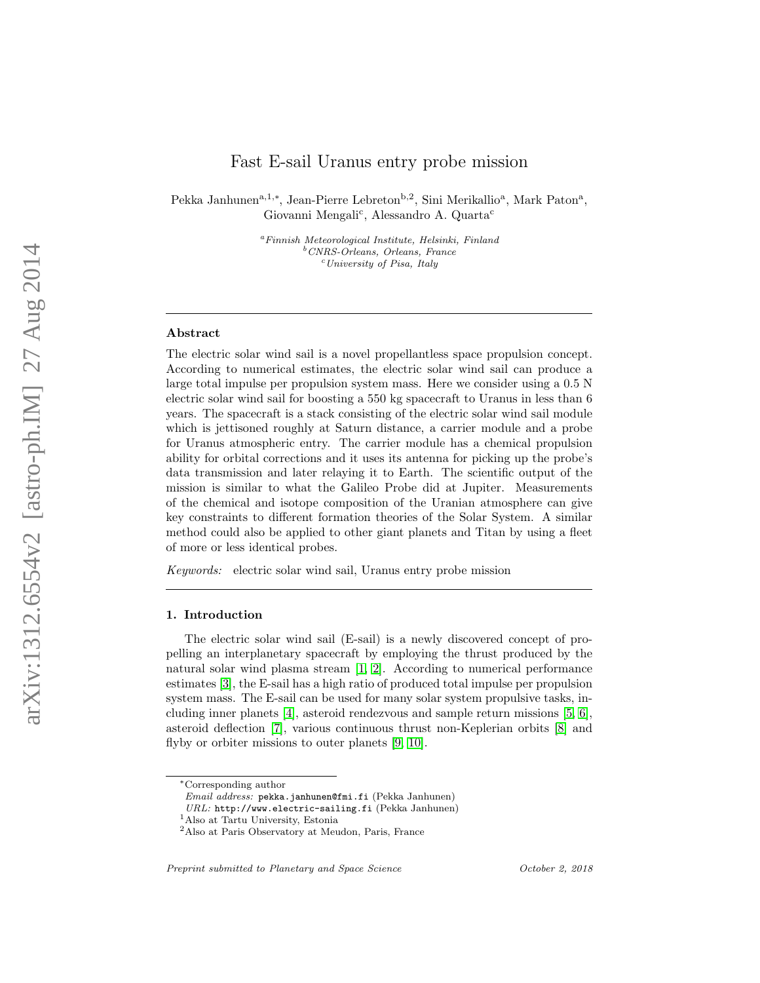# Fast E-sail Uranus entry probe mission

Pekka Janhunen<sup>a, 1,\*</sup>, Jean-Pierre Lebreton<sup>b, 2</sup>, Sini Merikallio<sup>a</sup>, Mark Paton<sup>a</sup>, Giovanni Mengali<sup>c</sup>, Alessandro A. Quarta<sup>c</sup>

> <sup>a</sup>Finnish Meteorological Institute, Helsinki, Finland <sup>b</sup> CNRS-Orleans, Orleans, France  $c$  University of Pisa, Italy

#### Abstract

The electric solar wind sail is a novel propellantless space propulsion concept. According to numerical estimates, the electric solar wind sail can produce a large total impulse per propulsion system mass. Here we consider using a 0.5 N electric solar wind sail for boosting a 550 kg spacecraft to Uranus in less than 6 years. The spacecraft is a stack consisting of the electric solar wind sail module which is jettisoned roughly at Saturn distance, a carrier module and a probe for Uranus atmospheric entry. The carrier module has a chemical propulsion ability for orbital corrections and it uses its antenna for picking up the probe's data transmission and later relaying it to Earth. The scientific output of the mission is similar to what the Galileo Probe did at Jupiter. Measurements of the chemical and isotope composition of the Uranian atmosphere can give key constraints to different formation theories of the Solar System. A similar method could also be applied to other giant planets and Titan by using a fleet of more or less identical probes.

Keywords: electric solar wind sail, Uranus entry probe mission

#### 1. Introduction

The electric solar wind sail (E-sail) is a newly discovered concept of propelling an interplanetary spacecraft by employing the thrust produced by the natural solar wind plasma stream [\[1,](#page-8-0) [2\]](#page-8-1). According to numerical performance estimates [\[3\]](#page-8-2), the E-sail has a high ratio of produced total impulse per propulsion system mass. The E-sail can be used for many solar system propulsive tasks, including inner planets [\[4\]](#page-8-3), asteroid rendezvous and sample return missions [\[5,](#page-8-4) [6\]](#page-8-5), asteroid deflection [\[7\]](#page-8-6), various continuous thrust non-Keplerian orbits [\[8\]](#page-8-7) and flyby or orbiter missions to outer planets [\[9,](#page-8-8) [10\]](#page-8-9).

<sup>∗</sup>Corresponding author

Email address: pekka.janhunen@fmi.fi (Pekka Janhunen)

URL: http://www.electric-sailing.fi (Pekka Janhunen)

<sup>1</sup>Also at Tartu University, Estonia

<sup>2</sup>Also at Paris Observatory at Meudon, Paris, France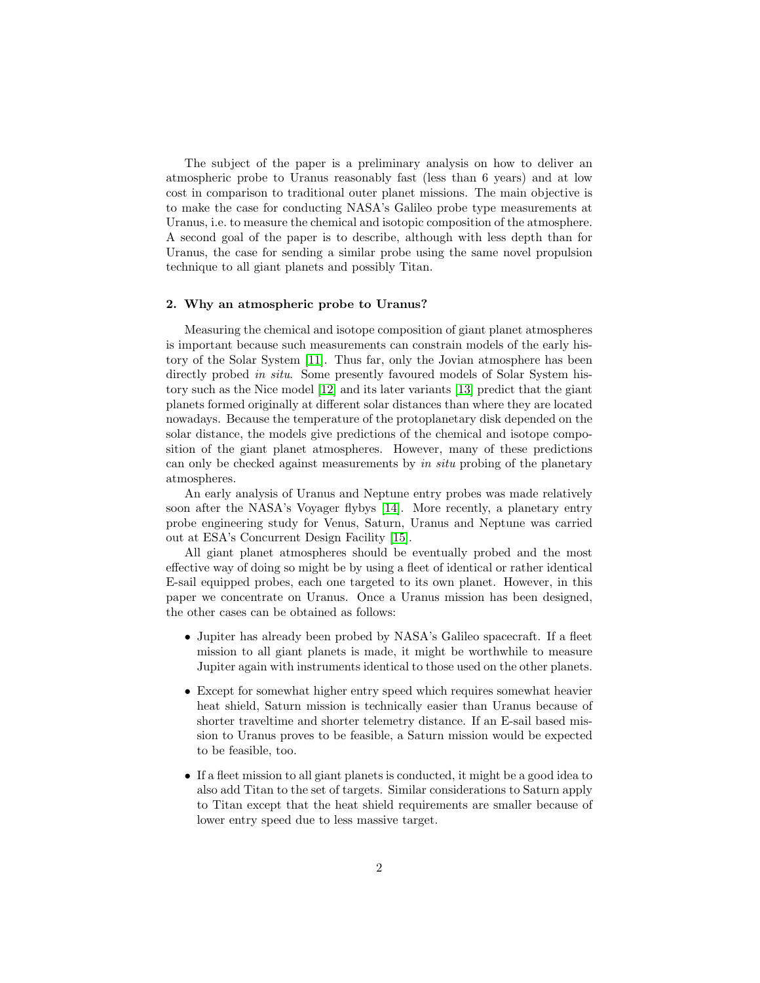The subject of the paper is a preliminary analysis on how to deliver an atmospheric probe to Uranus reasonably fast (less than 6 years) and at low cost in comparison to traditional outer planet missions. The main objective is to make the case for conducting NASA's Galileo probe type measurements at Uranus, i.e. to measure the chemical and isotopic composition of the atmosphere. A second goal of the paper is to describe, although with less depth than for Uranus, the case for sending a similar probe using the same novel propulsion technique to all giant planets and possibly Titan.

#### 2. Why an atmospheric probe to Uranus?

Measuring the chemical and isotope composition of giant planet atmospheres is important because such measurements can constrain models of the early history of the Solar System [\[11\]](#page-8-10). Thus far, only the Jovian atmosphere has been directly probed in situ. Some presently favoured models of Solar System history such as the Nice model [\[12\]](#page-8-11) and its later variants [\[13\]](#page-9-0) predict that the giant planets formed originally at different solar distances than where they are located nowadays. Because the temperature of the protoplanetary disk depended on the solar distance, the models give predictions of the chemical and isotope composition of the giant planet atmospheres. However, many of these predictions can only be checked against measurements by in situ probing of the planetary atmospheres.

An early analysis of Uranus and Neptune entry probes was made relatively soon after the NASA's Voyager flybys [\[14\]](#page-9-1). More recently, a planetary entry probe engineering study for Venus, Saturn, Uranus and Neptune was carried out at ESA's Concurrent Design Facility [\[15\]](#page-9-2).

All giant planet atmospheres should be eventually probed and the most effective way of doing so might be by using a fleet of identical or rather identical E-sail equipped probes, each one targeted to its own planet. However, in this paper we concentrate on Uranus. Once a Uranus mission has been designed, the other cases can be obtained as follows:

- Jupiter has already been probed by NASA's Galileo spacecraft. If a fleet mission to all giant planets is made, it might be worthwhile to measure Jupiter again with instruments identical to those used on the other planets.
- Except for somewhat higher entry speed which requires somewhat heavier heat shield, Saturn mission is technically easier than Uranus because of shorter traveltime and shorter telemetry distance. If an E-sail based mission to Uranus proves to be feasible, a Saturn mission would be expected to be feasible, too.
- If a fleet mission to all giant planets is conducted, it might be a good idea to also add Titan to the set of targets. Similar considerations to Saturn apply to Titan except that the heat shield requirements are smaller because of lower entry speed due to less massive target.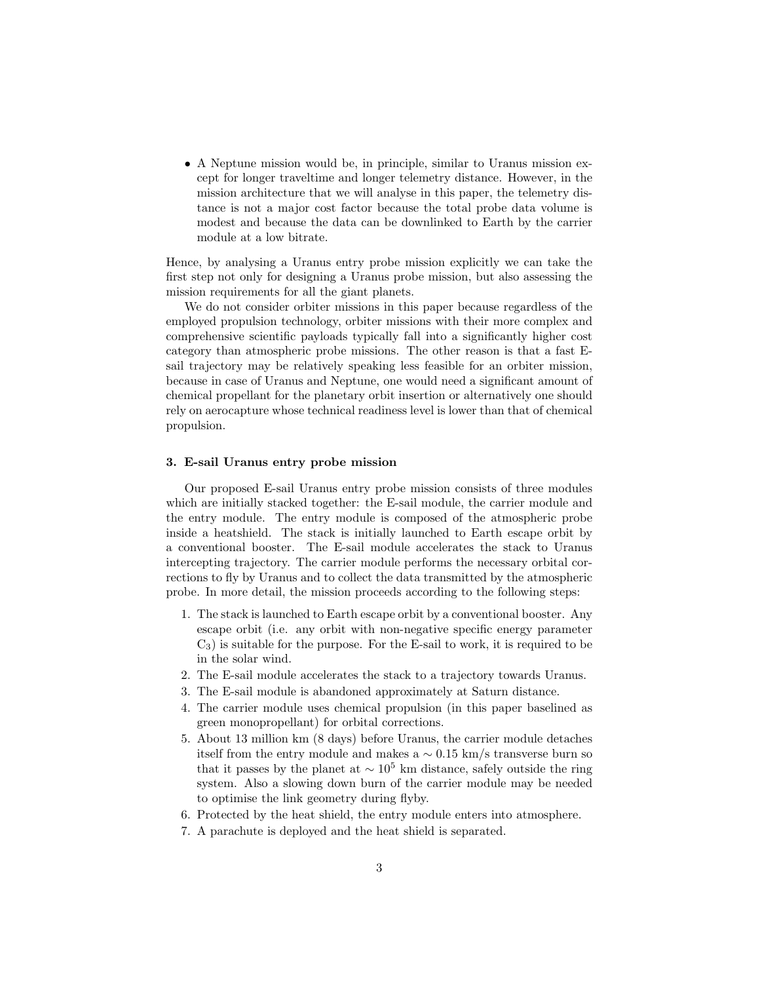• A Neptune mission would be, in principle, similar to Uranus mission except for longer traveltime and longer telemetry distance. However, in the mission architecture that we will analyse in this paper, the telemetry distance is not a major cost factor because the total probe data volume is modest and because the data can be downlinked to Earth by the carrier module at a low bitrate.

Hence, by analysing a Uranus entry probe mission explicitly we can take the first step not only for designing a Uranus probe mission, but also assessing the mission requirements for all the giant planets.

We do not consider orbiter missions in this paper because regardless of the employed propulsion technology, orbiter missions with their more complex and comprehensive scientific payloads typically fall into a significantly higher cost category than atmospheric probe missions. The other reason is that a fast Esail trajectory may be relatively speaking less feasible for an orbiter mission, because in case of Uranus and Neptune, one would need a significant amount of chemical propellant for the planetary orbit insertion or alternatively one should rely on aerocapture whose technical readiness level is lower than that of chemical propulsion.

## 3. E-sail Uranus entry probe mission

Our proposed E-sail Uranus entry probe mission consists of three modules which are initially stacked together: the E-sail module, the carrier module and the entry module. The entry module is composed of the atmospheric probe inside a heatshield. The stack is initially launched to Earth escape orbit by a conventional booster. The E-sail module accelerates the stack to Uranus intercepting trajectory. The carrier module performs the necessary orbital corrections to fly by Uranus and to collect the data transmitted by the atmospheric probe. In more detail, the mission proceeds according to the following steps:

- 1. The stack is launched to Earth escape orbit by a conventional booster. Any escape orbit (i.e. any orbit with non-negative specific energy parameter  $C_3$ ) is suitable for the purpose. For the E-sail to work, it is required to be in the solar wind.
- 2. The E-sail module accelerates the stack to a trajectory towards Uranus.
- 3. The E-sail module is abandoned approximately at Saturn distance.
- 4. The carrier module uses chemical propulsion (in this paper baselined as green monopropellant) for orbital corrections.
- 5. About 13 million km (8 days) before Uranus, the carrier module detaches itself from the entry module and makes a  $\sim 0.15$  km/s transverse burn so that it passes by the planet at  $\sim 10^5$  km distance, safely outside the ring system. Also a slowing down burn of the carrier module may be needed to optimise the link geometry during flyby.
- 6. Protected by the heat shield, the entry module enters into atmosphere.
- 7. A parachute is deployed and the heat shield is separated.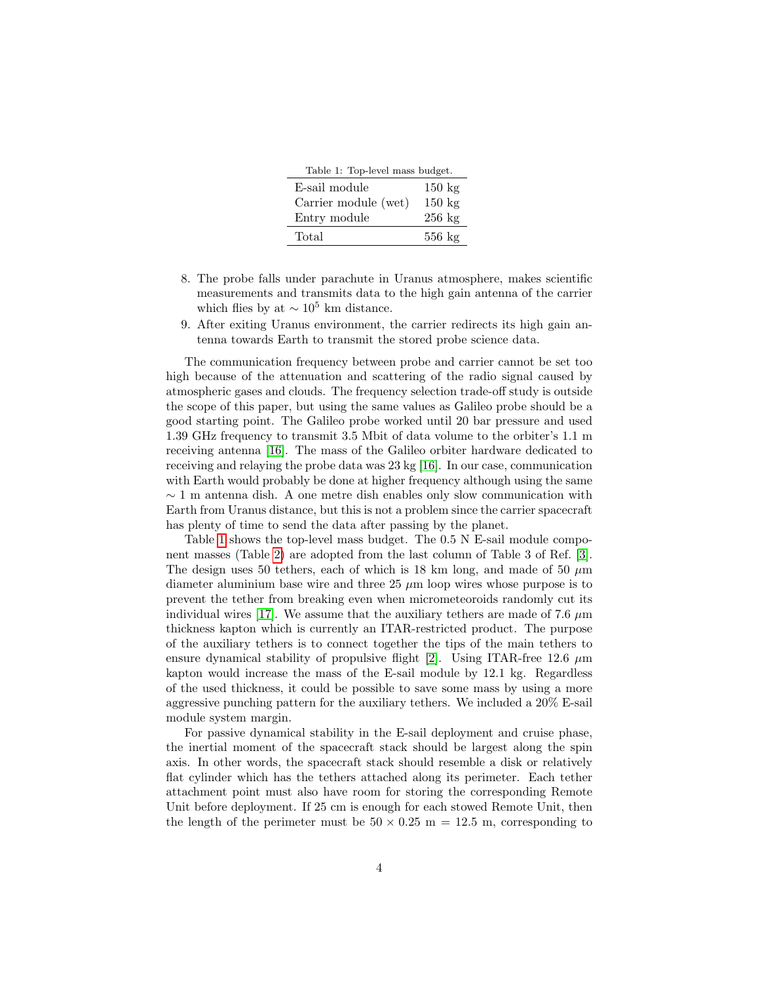<span id="page-3-0"></span>

| Table 1: Top-level mass budget. |                  |  |
|---------------------------------|------------------|--|
| E-sail module                   | $150 \text{ kg}$ |  |
| Carrier module (wet)            | $150 \text{ kg}$ |  |
| Entry module                    | $256$ kg         |  |
| Total                           | $556 \text{ kg}$ |  |
|                                 |                  |  |

- 8. The probe falls under parachute in Uranus atmosphere, makes scientific measurements and transmits data to the high gain antenna of the carrier which flies by at  $\sim 10^5$  km distance.
- 9. After exiting Uranus environment, the carrier redirects its high gain antenna towards Earth to transmit the stored probe science data.

The communication frequency between probe and carrier cannot be set too high because of the attenuation and scattering of the radio signal caused by atmospheric gases and clouds. The frequency selection trade-off study is outside the scope of this paper, but using the same values as Galileo probe should be a good starting point. The Galileo probe worked until 20 bar pressure and used 1.39 GHz frequency to transmit 3.5 Mbit of data volume to the orbiter's 1.1 m receiving antenna [\[16\]](#page-9-3). The mass of the Galileo orbiter hardware dedicated to receiving and relaying the probe data was 23 kg [\[16\]](#page-9-3). In our case, communication with Earth would probably be done at higher frequency although using the same  $\sim$  1 m antenna dish. A one metre dish enables only slow communication with Earth from Uranus distance, but this is not a problem since the carrier spacecraft has plenty of time to send the data after passing by the planet.

Table [1](#page-3-0) shows the top-level mass budget. The 0.5 N E-sail module component masses (Table [2\)](#page-4-0) are adopted from the last column of Table 3 of Ref. [\[3\]](#page-8-2). The design uses 50 tethers, each of which is 18 km long, and made of 50  $\mu$ m diameter aluminium base wire and three  $25 \mu m$  loop wires whose purpose is to prevent the tether from breaking even when micrometeoroids randomly cut its individual wires [\[17\]](#page-9-4). We assume that the auxiliary tethers are made of 7.6  $\mu$ m thickness kapton which is currently an ITAR-restricted product. The purpose of the auxiliary tethers is to connect together the tips of the main tethers to ensure dynamical stability of propulsive flight [\[2\]](#page-8-1). Using ITAR-free 12.6  $\mu$ m kapton would increase the mass of the E-sail module by 12.1 kg. Regardless of the used thickness, it could be possible to save some mass by using a more aggressive punching pattern for the auxiliary tethers. We included a 20% E-sail module system margin.

For passive dynamical stability in the E-sail deployment and cruise phase, the inertial moment of the spacecraft stack should be largest along the spin axis. In other words, the spacecraft stack should resemble a disk or relatively flat cylinder which has the tethers attached along its perimeter. Each tether attachment point must also have room for storing the corresponding Remote Unit before deployment. If 25 cm is enough for each stowed Remote Unit, then the length of the perimeter must be  $50 \times 0.25$  m = 12.5 m, corresponding to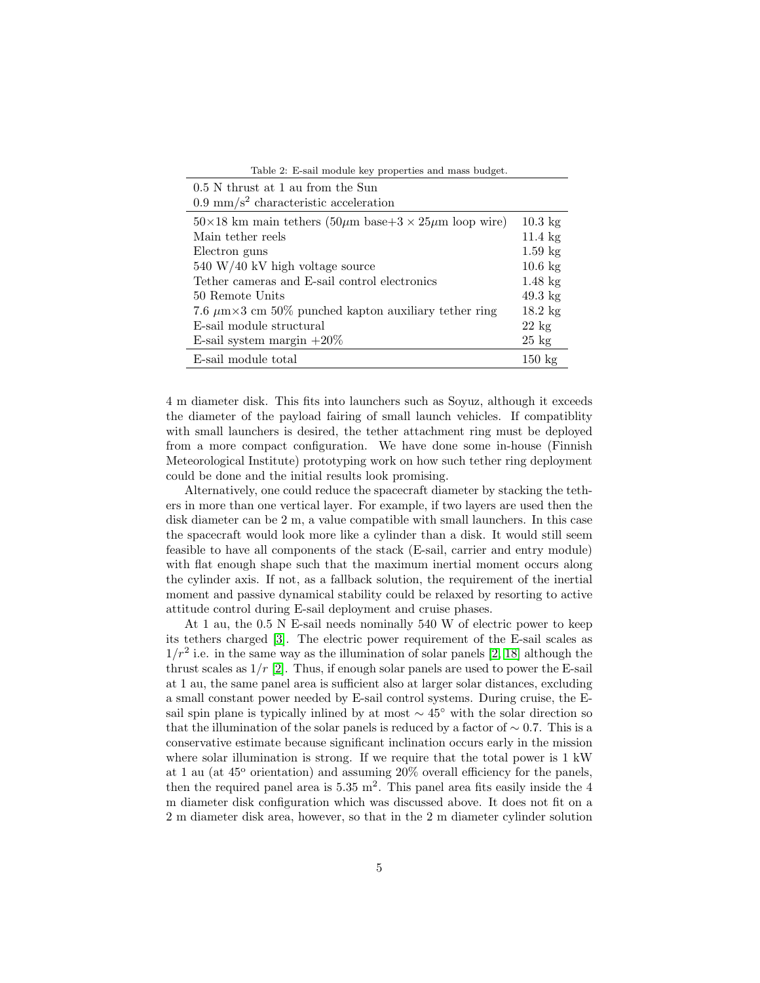<span id="page-4-0"></span>

| Table 2: E-sail module key properties and mass budget. |  |  |
|--------------------------------------------------------|--|--|
|--------------------------------------------------------|--|--|

| $0.5$ N thrust at 1 au from the Sun                                                        |                     |
|--------------------------------------------------------------------------------------------|---------------------|
| $0.9 \text{ mm/s}^2$ characteristic acceleration                                           |                     |
| $50\times18$ km main tethers $(50\mu m \text{ base} + 3 \times 25\mu m \text{ loop wire})$ | $10.3 \text{ kg}$   |
| Main tether reels                                                                          | $11.4\ \mathrm{kg}$ |
| Electron guns                                                                              | $1.59$ kg           |
| $540 W/40$ kV high voltage source                                                          | $10.6\ \mathrm{kg}$ |
| Tether cameras and E-sail control electronics                                              | $1.48 \text{ kg}$   |
| 50 Remote Units                                                                            | $49.3 \text{ kg}$   |
| 7.6 $\mu$ m × 3 cm 50% punched kapton auxiliary tether ring                                | $18.2 \text{ kg}$   |
| E-sail module structural                                                                   | $22 \text{ kg}$     |
| E-sail system margin $+20\%$                                                               | $25 \text{ kg}$     |
| E-sail module total                                                                        | $150 \text{ kg}$    |

4 m diameter disk. This fits into launchers such as Soyuz, although it exceeds the diameter of the payload fairing of small launch vehicles. If compatiblity with small launchers is desired, the tether attachment ring must be deployed from a more compact configuration. We have done some in-house (Finnish Meteorological Institute) prototyping work on how such tether ring deployment could be done and the initial results look promising.

Alternatively, one could reduce the spacecraft diameter by stacking the tethers in more than one vertical layer. For example, if two layers are used then the disk diameter can be 2 m, a value compatible with small launchers. In this case the spacecraft would look more like a cylinder than a disk. It would still seem feasible to have all components of the stack (E-sail, carrier and entry module) with flat enough shape such that the maximum inertial moment occurs along the cylinder axis. If not, as a fallback solution, the requirement of the inertial moment and passive dynamical stability could be relaxed by resorting to active attitude control during E-sail deployment and cruise phases.

At 1 au, the 0.5 N E-sail needs nominally 540 W of electric power to keep its tethers charged [\[3\]](#page-8-2). The electric power requirement of the E-sail scales as  $1/r^2$  i.e. in the same way as the illumination of solar panels [\[2,](#page-8-1) [18\]](#page-9-5) although the thrust scales as  $1/r$  [\[2\]](#page-8-1). Thus, if enough solar panels are used to power the E-sail at 1 au, the same panel area is sufficient also at larger solar distances, excluding a small constant power needed by E-sail control systems. During cruise, the Esail spin plane is typically inlined by at most  $\sim 45^{\circ}$  with the solar direction so that the illumination of the solar panels is reduced by a factor of  $\sim 0.7$ . This is a conservative estimate because significant inclination occurs early in the mission where solar illumination is strong. If we require that the total power is 1 kW at 1 au (at  $45^{\circ}$  orientation) and assuming  $20\%$  overall efficiency for the panels, then the required panel area is  $5.35 \text{ m}^2$ . This panel area fits easily inside the 4 m diameter disk configuration which was discussed above. It does not fit on a 2 m diameter disk area, however, so that in the 2 m diameter cylinder solution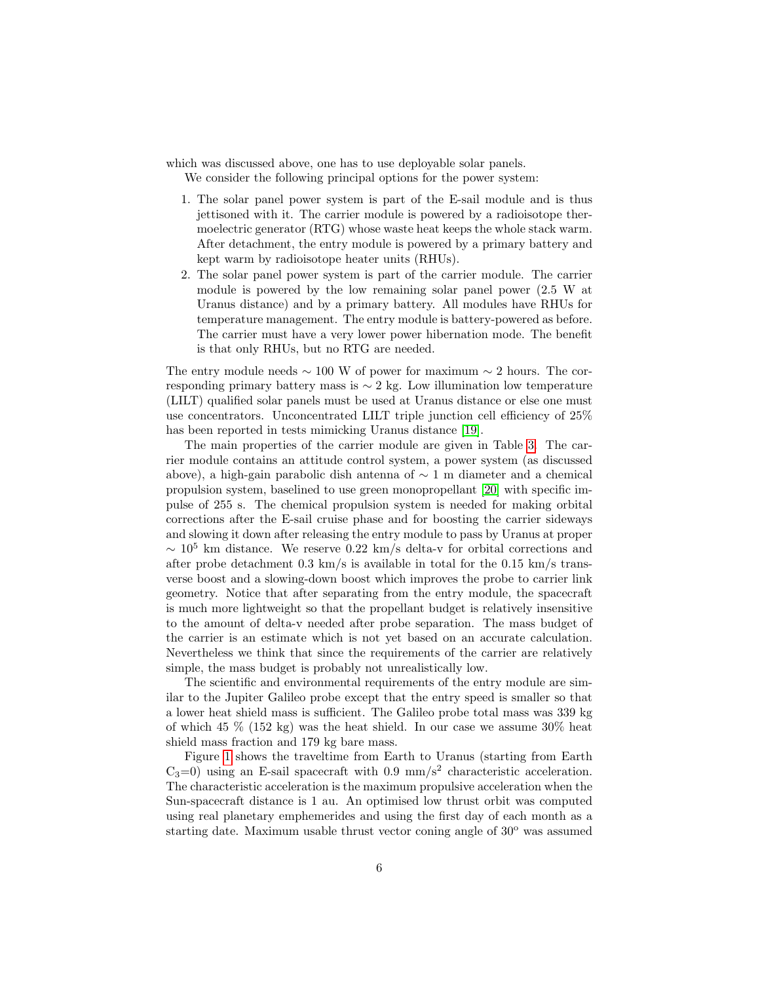which was discussed above, one has to use deployable solar panels.

We consider the following principal options for the power system:

- 1. The solar panel power system is part of the E-sail module and is thus jettisoned with it. The carrier module is powered by a radioisotope thermoelectric generator (RTG) whose waste heat keeps the whole stack warm. After detachment, the entry module is powered by a primary battery and kept warm by radioisotope heater units (RHUs).
- 2. The solar panel power system is part of the carrier module. The carrier module is powered by the low remaining solar panel power (2.5 W at Uranus distance) and by a primary battery. All modules have RHUs for temperature management. The entry module is battery-powered as before. The carrier must have a very lower power hibernation mode. The benefit is that only RHUs, but no RTG are needed.

The entry module needs  $\sim 100$  W of power for maximum  $\sim 2$  hours. The corresponding primary battery mass is  $\sim$  2 kg. Low illumination low temperature (LILT) qualified solar panels must be used at Uranus distance or else one must use concentrators. Unconcentrated LILT triple junction cell efficiency of 25% has been reported in tests mimicking Uranus distance [\[19\]](#page-9-6).

The main properties of the carrier module are given in Table [3.](#page-6-0) The carrier module contains an attitude control system, a power system (as discussed above), a high-gain parabolic dish antenna of  $\sim$  1 m diameter and a chemical propulsion system, baselined to use green monopropellant [\[20\]](#page-9-7) with specific impulse of 255 s. The chemical propulsion system is needed for making orbital corrections after the E-sail cruise phase and for boosting the carrier sideways and slowing it down after releasing the entry module to pass by Uranus at proper  $\sim 10^5$  km distance. We reserve 0.22 km/s delta-v for orbital corrections and after probe detachment 0.3 km/s is available in total for the 0.15 km/s transverse boost and a slowing-down boost which improves the probe to carrier link geometry. Notice that after separating from the entry module, the spacecraft is much more lightweight so that the propellant budget is relatively insensitive to the amount of delta-v needed after probe separation. The mass budget of the carrier is an estimate which is not yet based on an accurate calculation. Nevertheless we think that since the requirements of the carrier are relatively simple, the mass budget is probably not unrealistically low.

The scientific and environmental requirements of the entry module are similar to the Jupiter Galileo probe except that the entry speed is smaller so that a lower heat shield mass is sufficient. The Galileo probe total mass was 339 kg of which 45  $\%$  (152 kg) was the heat shield. In our case we assume 30 $\%$  heat shield mass fraction and 179 kg bare mass.

Figure [1](#page-10-0) shows the traveltime from Earth to Uranus (starting from Earth  $C_3=0$ ) using an E-sail spacecraft with 0.9 mm/s<sup>2</sup> characteristic acceleration. The characteristic acceleration is the maximum propulsive acceleration when the Sun-spacecraft distance is 1 au. An optimised low thrust orbit was computed using real planetary emphemerides and using the first day of each month as a starting date. Maximum usable thrust vector coning angle of  $30^{\circ}$  was assumed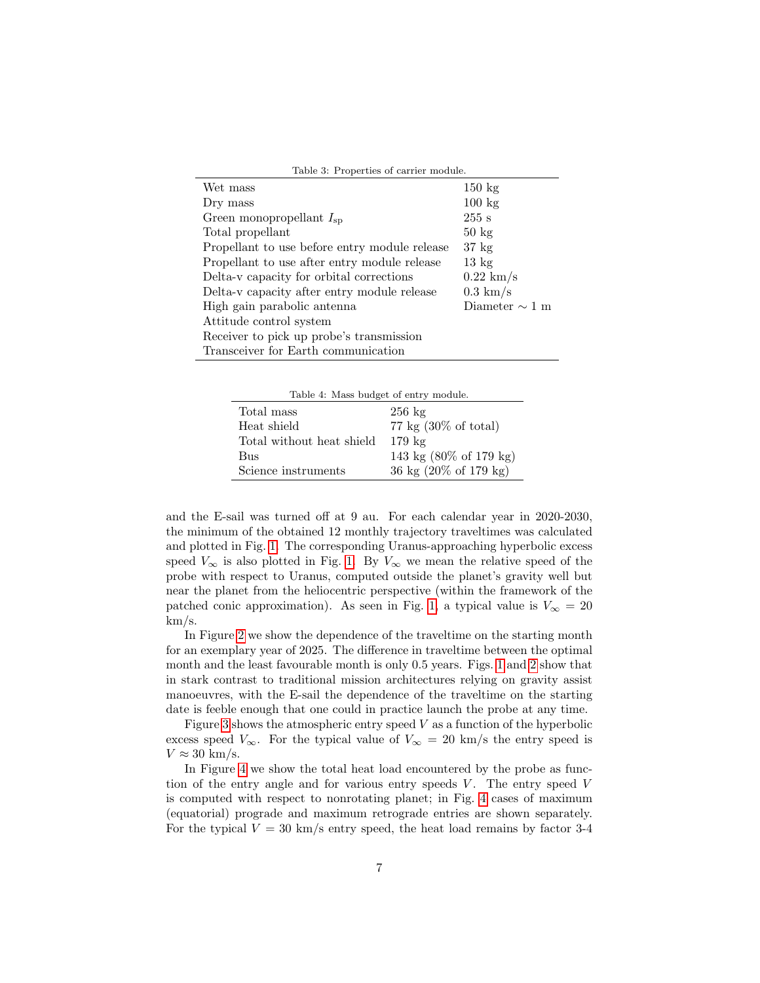<span id="page-6-0"></span>

| Table 3: Properties of carrier module.        |                     |  |
|-----------------------------------------------|---------------------|--|
| Wet mass                                      | $150 \text{ kg}$    |  |
| Dry mass                                      | $100 \text{ kg}$    |  |
| Green monopropellant $I_{\rm{sp}}$            | 255 s               |  |
| Total propellant                              | $50 \text{ kg}$     |  |
| Propellant to use before entry module release | $37 \text{ kg}$     |  |
| Propellant to use after entry module release  | $13 \text{ kg}$     |  |
| Delta-v capacity for orbital corrections      | $0.22 \text{ km/s}$ |  |
| Delta-v capacity after entry module release   | $0.3 \text{ km/s}$  |  |
| High gain parabolic antenna                   | Diameter $\sim 1$ m |  |
| Attitude control system                       |                     |  |
| Receiver to pick up probe's transmission      |                     |  |
| Transceiver for Earth communication           |                     |  |

<span id="page-6-1"></span>

| Table 4: Mass budget of entry module. |                                 |  |
|---------------------------------------|---------------------------------|--|
| Total mass                            | $256 \text{ kg}$                |  |
| Heat shield                           | 77 kg $(30\% \text{ of total})$ |  |
| Total without heat shield             | $179 \text{ kg}$                |  |
| Bus                                   | 143 kg (80% of 179 kg)          |  |
| Science instruments                   | 36 kg (20% of 179 kg)           |  |

and the E-sail was turned off at 9 au. For each calendar year in 2020-2030, the minimum of the obtained 12 monthly trajectory traveltimes was calculated and plotted in Fig. [1.](#page-10-0) The corresponding Uranus-approaching hyperbolic excess speed  $V_{\infty}$  is also plotted in Fig. [1.](#page-10-0) By  $V_{\infty}$  we mean the relative speed of the probe with respect to Uranus, computed outside the planet's gravity well but near the planet from the heliocentric perspective (within the framework of the patched conic approximation). As seen in Fig. [1,](#page-10-0) a typical value is  $V_{\infty} = 20$ km/s.

In Figure [2](#page-11-0) we show the dependence of the traveltime on the starting month for an exemplary year of 2025. The difference in traveltime between the optimal month and the least favourable month is only 0.5 years. Figs. [1](#page-10-0) and [2](#page-11-0) show that in stark contrast to traditional mission architectures relying on gravity assist manoeuvres, with the E-sail the dependence of the traveltime on the starting date is feeble enough that one could in practice launch the probe at any time.

Figure [3](#page-11-1) shows the atmospheric entry speed  $V$  as a function of the hyperbolic excess speed  $V_{\infty}$ . For the typical value of  $V_{\infty} = 20$  km/s the entry speed is  $V \approx 30$  km/s.

In Figure [4](#page-12-0) we show the total heat load encountered by the probe as function of the entry angle and for various entry speeds  $V$ . The entry speed  $V$ is computed with respect to nonrotating planet; in Fig. [4](#page-12-0) cases of maximum (equatorial) prograde and maximum retrograde entries are shown separately. For the typical  $V = 30 \text{ km/s}$  entry speed, the heat load remains by factor 3-4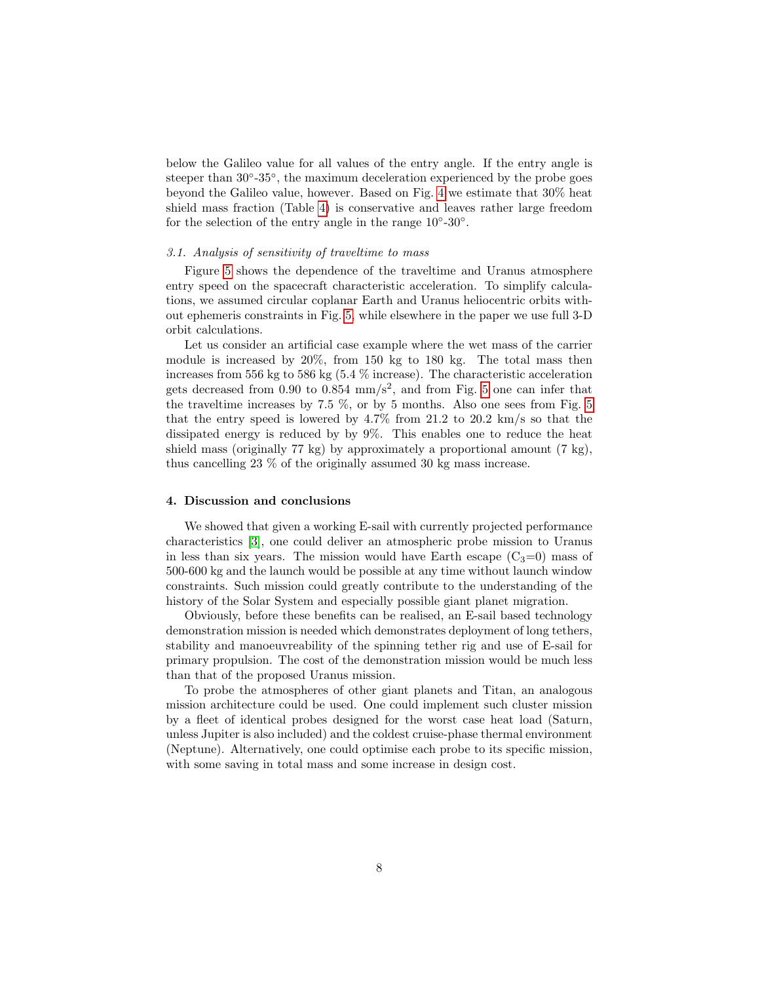below the Galileo value for all values of the entry angle. If the entry angle is steeper than 30°-35°, the maximum deceleration experienced by the probe goes beyond the Galileo value, however. Based on Fig. [4](#page-12-0) we estimate that 30% heat shield mass fraction (Table [4\)](#page-6-1) is conservative and leaves rather large freedom for the selection of the entry angle in the range  $10^{\circ}$ - $30^{\circ}$ .

## 3.1. Analysis of sensitivity of traveltime to mass

Figure [5](#page-13-0) shows the dependence of the traveltime and Uranus atmosphere entry speed on the spacecraft characteristic acceleration. To simplify calculations, we assumed circular coplanar Earth and Uranus heliocentric orbits without ephemeris constraints in Fig. [5,](#page-13-0) while elsewhere in the paper we use full 3-D orbit calculations.

Let us consider an artificial case example where the wet mass of the carrier module is increased by 20%, from 150 kg to 180 kg. The total mass then increases from 556 kg to 586 kg (5.4 % increase). The characteristic acceleration gets decreased from 0.90 to 0.854  $mm/s<sup>2</sup>$ , and from Fig. [5](#page-13-0) one can infer that the traveltime increases by 7.5 %, or by 5 months. Also one sees from Fig. [5](#page-13-0) that the entry speed is lowered by 4.7% from 21.2 to 20.2 km/s so that the dissipated energy is reduced by by 9%. This enables one to reduce the heat shield mass (originally 77 kg) by approximately a proportional amount (7 kg), thus cancelling 23 % of the originally assumed 30 kg mass increase.

#### 4. Discussion and conclusions

We showed that given a working E-sail with currently projected performance characteristics [\[3\]](#page-8-2), one could deliver an atmospheric probe mission to Uranus in less than six years. The mission would have Earth escape  $(C_3=0)$  mass of 500-600 kg and the launch would be possible at any time without launch window constraints. Such mission could greatly contribute to the understanding of the history of the Solar System and especially possible giant planet migration.

Obviously, before these benefits can be realised, an E-sail based technology demonstration mission is needed which demonstrates deployment of long tethers, stability and manoeuvreability of the spinning tether rig and use of E-sail for primary propulsion. The cost of the demonstration mission would be much less than that of the proposed Uranus mission.

To probe the atmospheres of other giant planets and Titan, an analogous mission architecture could be used. One could implement such cluster mission by a fleet of identical probes designed for the worst case heat load (Saturn, unless Jupiter is also included) and the coldest cruise-phase thermal environment (Neptune). Alternatively, one could optimise each probe to its specific mission, with some saving in total mass and some increase in design cost.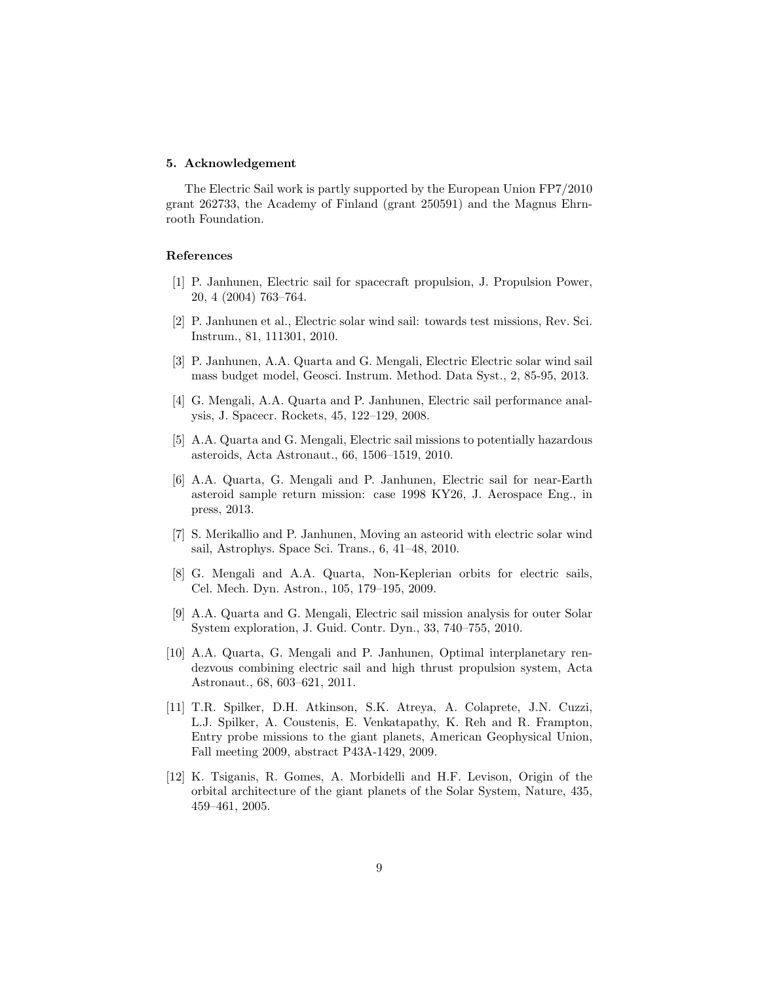## 5. Acknowledgement

The Electric Sail work is partly supported by the European Union FP7/2010 grant 262733, the Academy of Finland (grant 250591) and the Magnus Ehrnrooth Foundation.

## References

- <span id="page-8-0"></span>[1] P. Janhunen, Electric sail for spacecraft propulsion, J. Propulsion Power, 20, 4 (2004) 763–764.
- <span id="page-8-1"></span>[2] P. Janhunen et al., Electric solar wind sail: towards test missions, Rev. Sci. Instrum., 81, 111301, 2010.
- <span id="page-8-2"></span>[3] P. Janhunen, A.A. Quarta and G. Mengali, Electric Electric solar wind sail mass budget model, Geosci. Instrum. Method. Data Syst., 2, 85-95, 2013.
- <span id="page-8-3"></span>[4] G. Mengali, A.A. Quarta and P. Janhunen, Electric sail performance analysis, J. Spacecr. Rockets, 45, 122–129, 2008.
- <span id="page-8-4"></span>[5] A.A. Quarta and G. Mengali, Electric sail missions to potentially hazardous asteroids, Acta Astronaut., 66, 1506–1519, 2010.
- <span id="page-8-5"></span>[6] A.A. Quarta, G. Mengali and P. Janhunen, Electric sail for near-Earth asteroid sample return mission: case 1998 KY26, J. Aerospace Eng., in press, 2013.
- <span id="page-8-6"></span>[7] S. Merikallio and P. Janhunen, Moving an asteorid with electric solar wind sail, Astrophys. Space Sci. Trans., 6, 41–48, 2010.
- <span id="page-8-7"></span>[8] G. Mengali and A.A. Quarta, Non-Keplerian orbits for electric sails, Cel. Mech. Dyn. Astron., 105, 179–195, 2009.
- <span id="page-8-8"></span>[9] A.A. Quarta and G. Mengali, Electric sail mission analysis for outer Solar System exploration, J. Guid. Contr. Dyn., 33, 740–755, 2010.
- <span id="page-8-9"></span>[10] A.A. Quarta, G. Mengali and P. Janhunen, Optimal interplanetary rendezvous combining electric sail and high thrust propulsion system, Acta Astronaut., 68, 603–621, 2011.
- <span id="page-8-10"></span>[11] T.R. Spilker, D.H. Atkinson, S.K. Atreya, A. Colaprete, J.N. Cuzzi, L.J. Spilker, A. Coustenis, E. Venkatapathy, K. Reh and R. Frampton, Entry probe missions to the giant planets, American Geophysical Union, Fall meeting 2009, abstract P43A-1429, 2009.
- <span id="page-8-11"></span>[12] K. Tsiganis, R. Gomes, A. Morbidelli and H.F. Levison, Origin of the orbital architecture of the giant planets of the Solar System, Nature, 435, 459–461, 2005.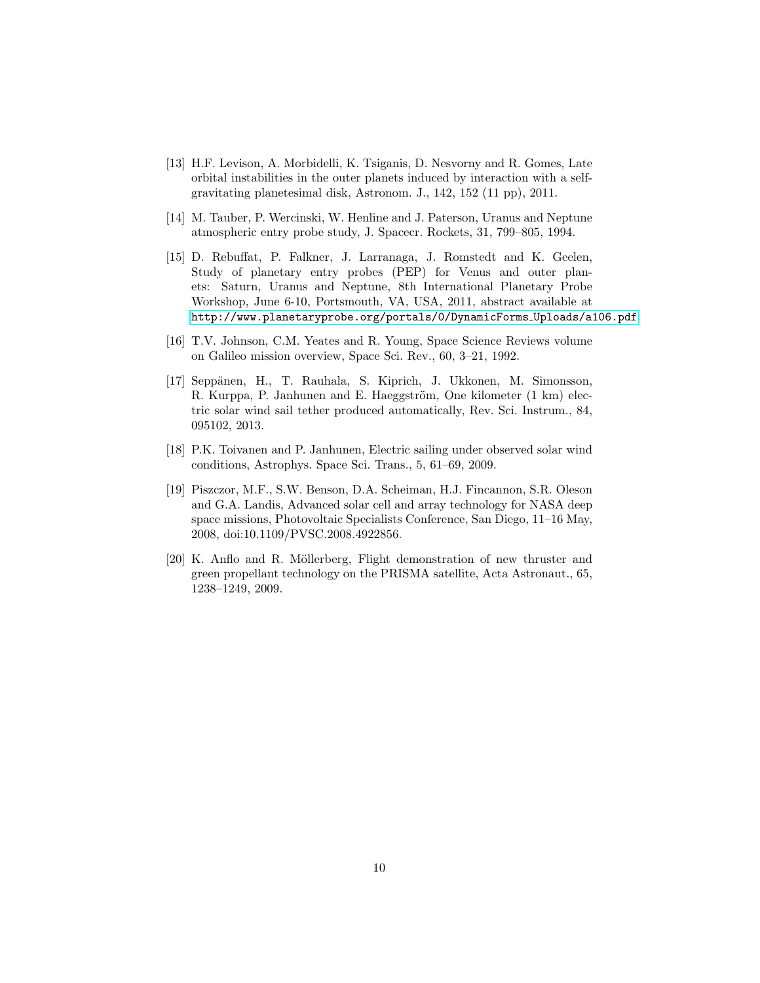- <span id="page-9-0"></span>[13] H.F. Levison, A. Morbidelli, K. Tsiganis, D. Nesvorny and R. Gomes, Late orbital instabilities in the outer planets induced by interaction with a selfgravitating planetesimal disk, Astronom. J., 142, 152 (11 pp), 2011.
- <span id="page-9-1"></span>[14] M. Tauber, P. Wercinski, W. Henline and J. Paterson, Uranus and Neptune atmospheric entry probe study, J. Spacecr. Rockets, 31, 799–805, 1994.
- <span id="page-9-2"></span>[15] D. Rebuffat, P. Falkner, J. Larranaga, J. Romstedt and K. Geelen, Study of planetary entry probes (PEP) for Venus and outer planets: Saturn, Uranus and Neptune, 8th International Planetary Probe Workshop, June 6-10, Portsmouth, VA, USA, 2011, abstract available at [http://www.planetaryprobe.org/portals/0/DynamicForms](http://www.planetaryprobe.org/portals/0/DynamicForms_Uploads/a106.pdf) Uploads/a106.pdf.
- <span id="page-9-3"></span>[16] T.V. Johnson, C.M. Yeates and R. Young, Space Science Reviews volume on Galileo mission overview, Space Sci. Rev., 60, 3–21, 1992.
- <span id="page-9-4"></span>[17] Seppänen, H., T. Rauhala, S. Kiprich, J. Ukkonen, M. Simonsson, R. Kurppa, P. Janhunen and E. Haeggström, One kilometer (1 km) electric solar wind sail tether produced automatically, Rev. Sci. Instrum., 84, 095102, 2013.
- <span id="page-9-5"></span>[18] P.K. Toivanen and P. Janhunen, Electric sailing under observed solar wind conditions, Astrophys. Space Sci. Trans., 5, 61–69, 2009.
- <span id="page-9-6"></span>[19] Piszczor, M.F., S.W. Benson, D.A. Scheiman, H.J. Fincannon, S.R. Oleson and G.A. Landis, Advanced solar cell and array technology for NASA deep space missions, Photovoltaic Specialists Conference, San Diego, 11–16 May, 2008, doi:10.1109/PVSC.2008.4922856.
- <span id="page-9-7"></span>[20] K. Anflo and R. Möllerberg, Flight demonstration of new thruster and green propellant technology on the PRISMA satellite, Acta Astronaut., 65, 1238–1249, 2009.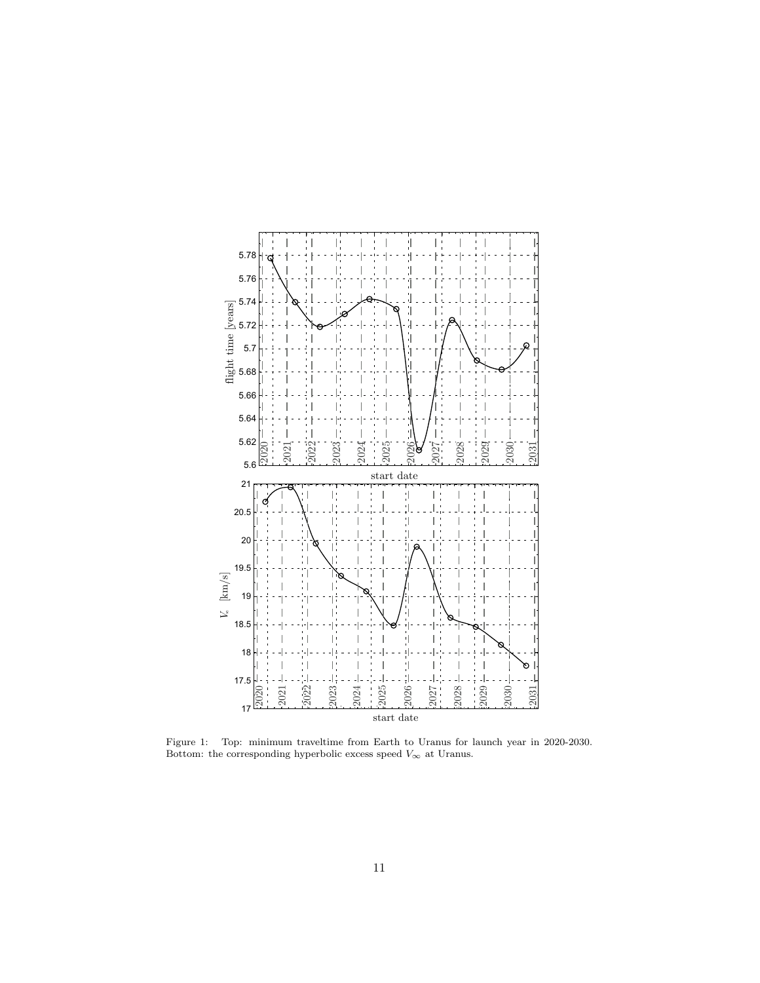

<span id="page-10-0"></span>Figure 1: Top: minimum traveltime from Earth to Uranus for launch year in 2020-2030. Bottom: the corresponding hyperbolic excess speed  $V_{\infty}$  at Uranus.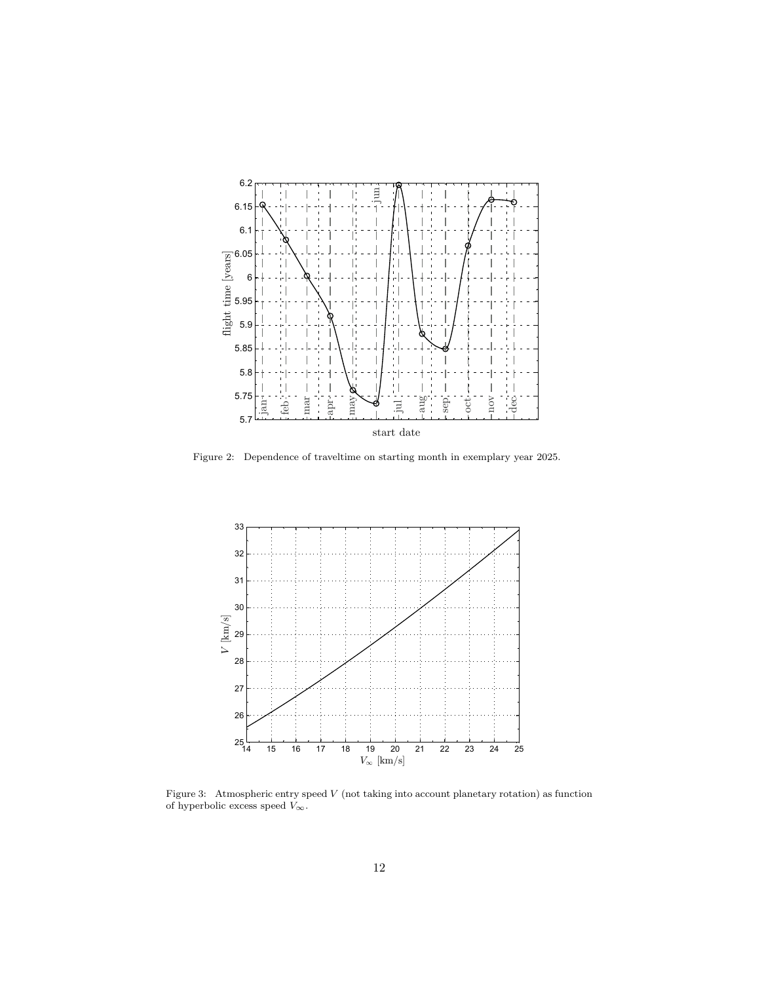

<span id="page-11-0"></span>Figure 2: Dependence of traveltime on starting month in exemplary year 2025.



<span id="page-11-1"></span>Figure 3: Atmospheric entry speed V (not taking into account planetary rotation) as function of hyperbolic excess speed  $V_{\infty}$ .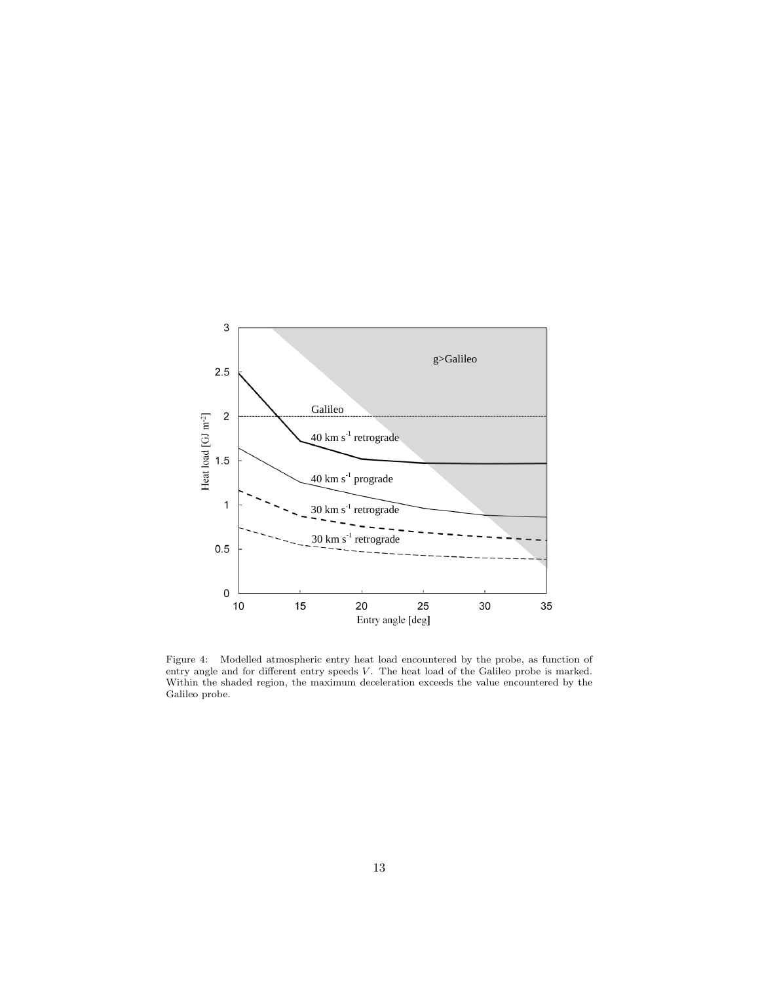

<span id="page-12-0"></span>Figure 4: Modelled atmospheric entry heat load encountered by the probe, as function of entry angle and for different entry speeds  $V$ . The heat load of the Galileo probe is marked. Within the shaded region, the maximum deceleration exceeds the value encountered by the Galileo probe.